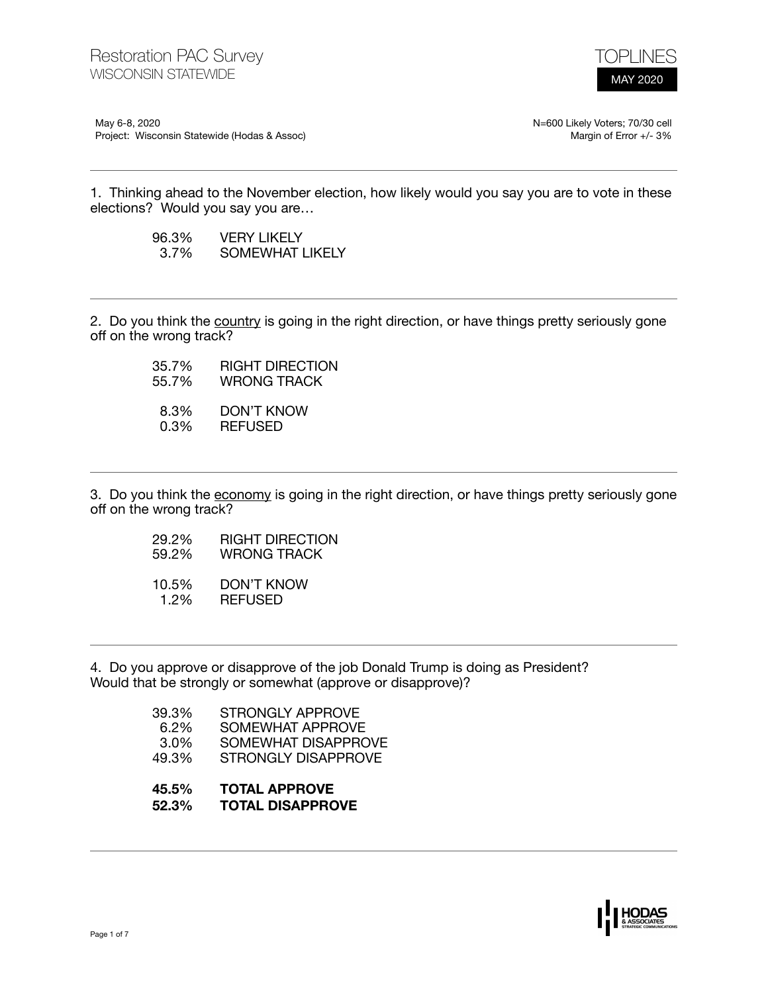

May 6-8, 2020 Project: Wisconsin Statewide (Hodas & Assoc) N=600 Likely Voters; 70/30 cell Margin of Error +/- 3%

1. Thinking ahead to the November election, how likely would you say you are to vote in these elections? Would you say you are…

| 96.3% | <b>VERY LIKELY</b> |
|-------|--------------------|
| 3.7%  | SOMEWHAT LIKELY    |

2. Do you think the country is going in the right direction, or have things pretty seriously gone off on the wrong track?

> 35.7% RIGHT DIRECTION<br>55.7% WRONG TRACK WRONG TRACK 8.3% DON'T KNOW<br>0.3% REFUSED 0.3% REFUSED

3. Do you think the economy is going in the right direction, or have things pretty seriously gone off on the wrong track?

- 29.2% RIGHT DIRECTION 59.2% WRONG TRACK
- 
- 10.5% DON'T KNOW 1.2% REFUSED

4. Do you approve or disapprove of the job Donald Trump is doing as President? Would that be strongly or somewhat (approve or disapprove)?

| 39.3%   | STRONGLY APPROVE    |
|---------|---------------------|
| $6.2\%$ | SOMEWHAT APPROVE    |
| $3.0\%$ | SOMEWHAT DISAPPROVE |
| 49.3%   | STRONGLY DISAPPROVE |
|         |                     |

- **45.5% TOTAL APPROVE**
- **52.3% TOTAL DISAPPROVE**

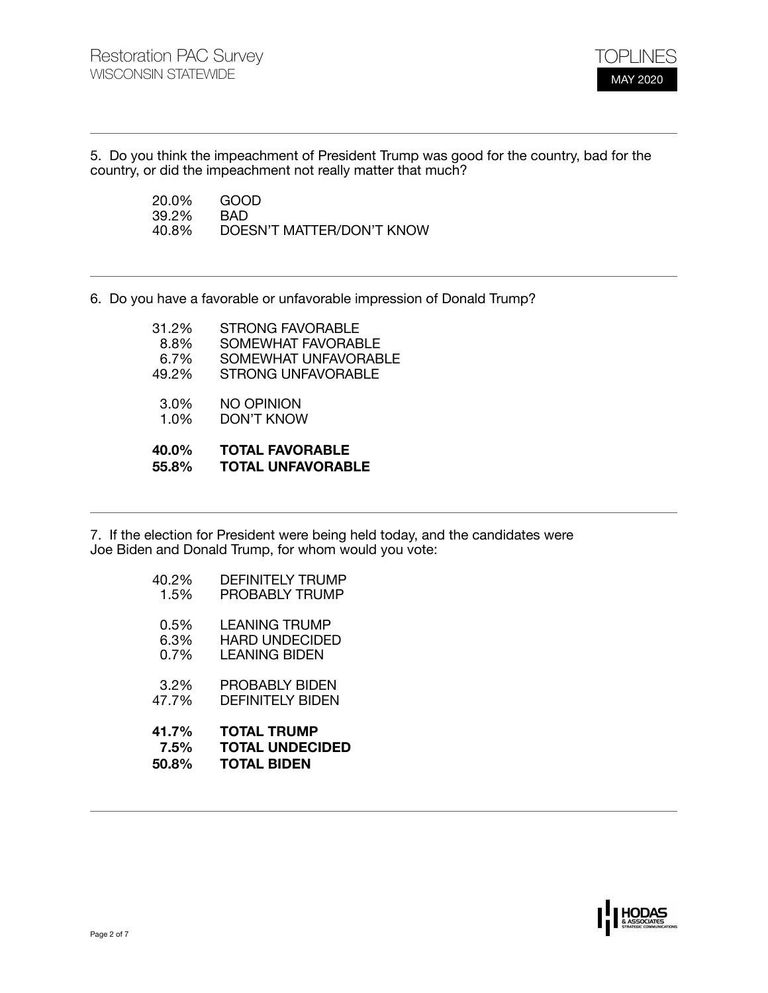

5. Do you think the impeachment of President Trump was good for the country, bad for the country, or did the impeachment not really matter that much?

> 20.0% GOOD<br>39.2% BAD 39.2%<br>40.8% 40.8% DOESN'T MATTER/DON'T KNOW

6. Do you have a favorable or unfavorable impression of Donald Trump?

| 40.0%<br>55.8% | <b>TOTAL FAVORABLE</b><br><b>TOTAL UNFAVORABLE</b> |
|----------------|----------------------------------------------------|
| 1.0%           | DON'T KNOW                                         |
| 3.0%           | NO OPINION                                         |
| 49.2%          | <b>STRONG UNFAVORABLE</b>                          |
| 6.7%           | SOMEWHAT UNFAVORABLE                               |
| 8.8%           | SOMEWHAT FAVORABLE                                 |
| 31.2%          | <b>STRONG FAVORABLE</b>                            |

7. If the election for President were being held today, and the candidates were Joe Biden and Donald Trump, for whom would you vote:

| 41.7%   | <b>TOTAL TRUMP</b>      |
|---------|-------------------------|
| 7.5%    | <b>TOTAL UNDECIDED</b>  |
| 50.8%   | <b>TOTAL BIDEN</b>      |
| 3.2%    | PROBABLY BIDEN          |
| 47.7%   | DFFINITFI Y RIDFN       |
| 0.5%    | <b>LEANING TRUMP</b>    |
| 6.3%    | <b>HARD UNDECIDED</b>   |
| $0.7\%$ | <b>LEANING BIDEN</b>    |
| 40.2%   | <b>DEFINITELY TRUMP</b> |
| 1.5%    | <b>PROBABLY TRUMP</b>   |

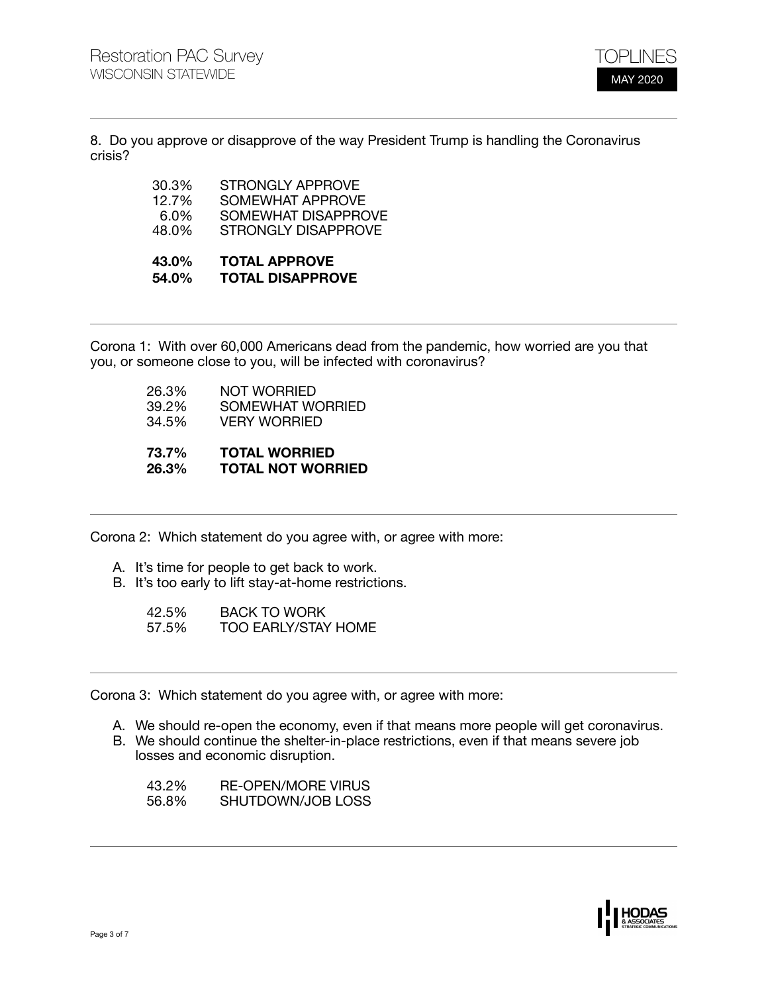

8. Do you approve or disapprove of the way President Trump is handling the Coronavirus crisis?

| 30.3%   | STRONGLY APPROVE           |
|---------|----------------------------|
| 12.7%   | SOMEWHAT APPROVE           |
| $6.0\%$ | <b>SOMEWHAT DISAPPROVE</b> |
| 48.0%   | STRONGLY DISAPPROVE        |
|         |                            |

## **43.0% TOTAL APPROVE 54.0% TOTAL DISAPPROVE**

Corona 1: With over 60,000 Americans dead from the pandemic, how worried are you that you, or someone close to you, will be infected with coronavirus?

> 26.3% NOT WORRIED<br>39.2% SOMEWHAT WO 39.2% SOMEWHAT WORRIED<br>34.5% VERY WORRIED **VERY WORRIED 73.7% TOTAL WORRIED 26.3% TOTAL NOT WORRIED**

Corona 2: Which statement do you agree with, or agree with more:

- A. It's time for people to get back to work.
- B. It's too early to lift stay-at-home restrictions.

| 42.5% | <b>BACK TO WORK</b>        |
|-------|----------------------------|
| 57.5% | <b>TOO EARLY/STAY HOME</b> |

Corona 3: Which statement do you agree with, or agree with more:

- A. We should re-open the economy, even if that means more people will get coronavirus.
- B. We should continue the shelter-in-place restrictions, even if that means severe job losses and economic disruption.
	- 43.2% RE-OPEN/MORE VIRUS<br>56.8% SHUTDOWN/JOB LOSS SHUTDOWN/JOB LOSS

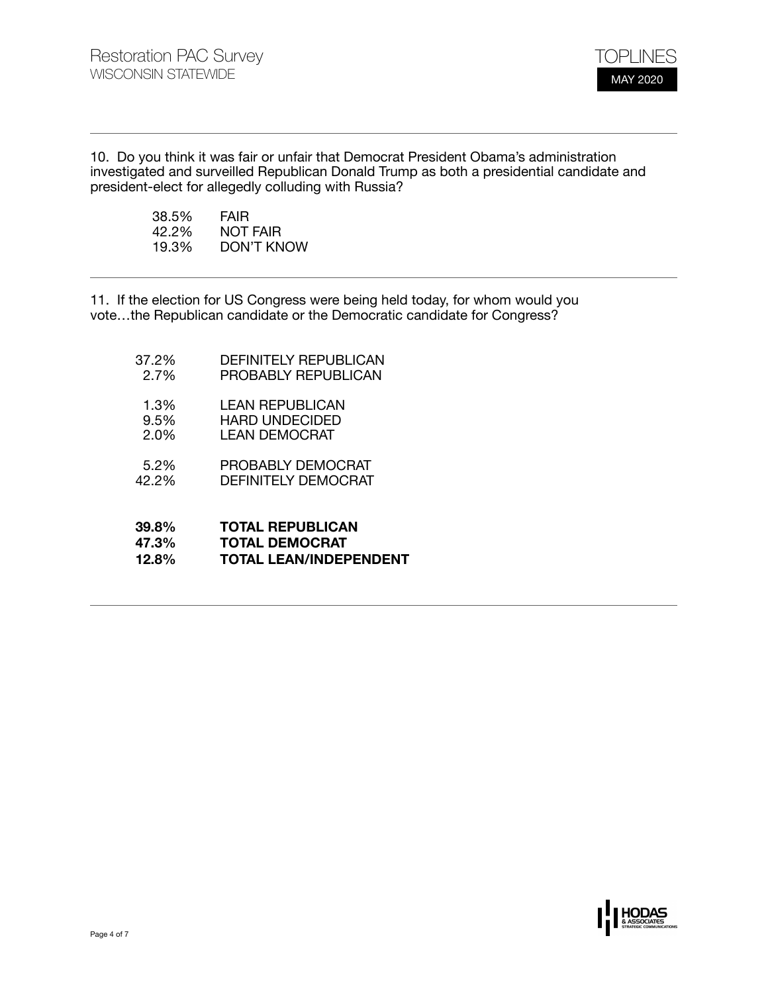

10. Do you think it was fair or unfair that Democrat President Obama's administration investigated and surveilled Republican Donald Trump as both a presidential candidate and president-elect for allegedly colluding with Russia?

| 38.5% | <b>FAIR</b>     |
|-------|-----------------|
| 42.2% | <b>NOT FAIR</b> |
| 19.3% | DON'T KNOW      |

11. If the election for US Congress were being held today, for whom would you vote…the Republican candidate or the Democratic candidate for Congress?

37.2% DEFINITELY REPUBLICAN 2.7% PROBABLY REPUBLICAN 1.3% LEAN REPUBLICAN 9.5% HARD UNDECIDED<br>2.0% LEAN DEMOCRAT LEAN DEMOCRAT 5.2% PROBABLY DEMOCRAT 42.2% DEFINITELY DEMOCRAT **39.8% TOTAL REPUBLICAN 47.3% TOTAL DEMOCRAT 12.8% TOTAL LEAN/INDEPENDENT** 

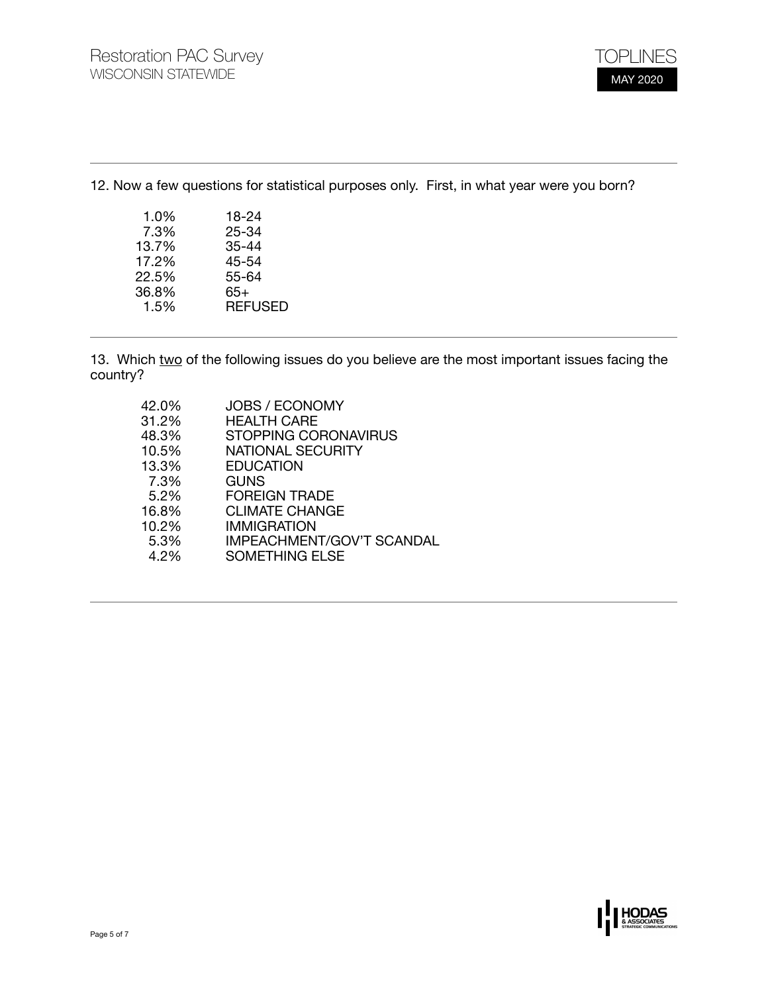12. Now a few questions for statistical purposes only. First, in what year were you born?

| 1.0%  | 18-24          |
|-------|----------------|
| 7.3%  | 25-34          |
| 13.7% | $35 - 44$      |
| 17.2% | 45-54          |
| 22.5% | 55-64          |
| 36.8% | 65+            |
| 1.5%  | <b>REFUSED</b> |
|       |                |

13. Which two of the following issues do you believe are the most important issues facing the country?

| 42.0% | <b>JOBS / ECONOMY</b>            |
|-------|----------------------------------|
| 31.2% | <b>HEALTH CARE</b>               |
| 48.3% | STOPPING CORONAVIRUS             |
| 10.5% | <b>NATIONAL SECURITY</b>         |
| 13.3% | <b>EDUCATION</b>                 |
| 7.3%  | <b>GUNS</b>                      |
| 5.2%  | <b>FOREIGN TRADE</b>             |
| 16.8% | <b>CLIMATE CHANGE</b>            |
| 10.2% | IMMIGRATION                      |
| 5.3%  | <b>IMPEACHMENT/GOV'T SCANDAL</b> |
| 4.2%  | <b>SOMETHING ELSE</b>            |

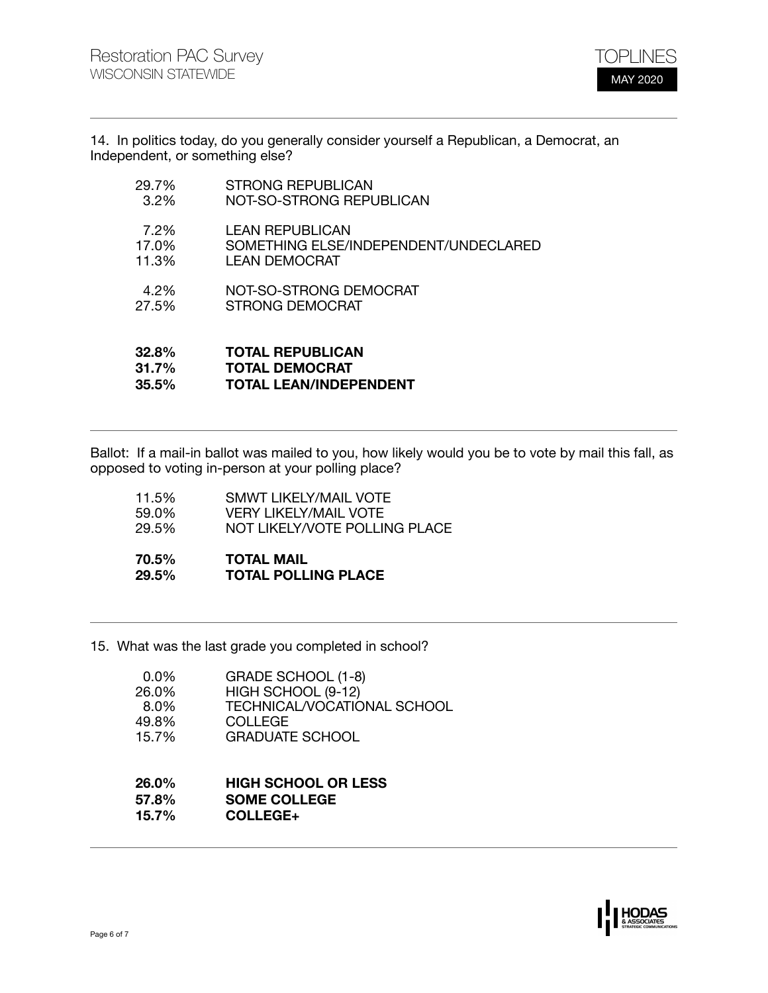

14. In politics today, do you generally consider yourself a Republican, a Democrat, an Independent, or something else?

| 32.8%   | <b>TOTAL REPUBLICAN</b>               |
|---------|---------------------------------------|
| 31.7%   | <b>TOTAL DEMOCRAT</b>                 |
| 35.5%   | <b>TOTAL LEAN/INDEPENDENT</b>         |
| 4.2%    | NOT-SO-STRONG DEMOCRAT                |
| 27.5%   | STRONG DEMOCRAT                       |
| 7.2%    | <b>LEAN REPUBLICAN</b>                |
| 17.0%   | SOMETHING ELSE/INDEPENDENT/UNDECLARED |
| 11.3%   | LEAN DEMOCRAT                         |
| 29.7%   | <b>STRONG REPUBLICAN</b>              |
| $3.2\%$ | NOT-SO-STRONG REPUBLICAN              |

Ballot: If a mail-in ballot was mailed to you, how likely would you be to vote by mail this fall, as opposed to voting in-person at your polling place?

| 70.5%        | <b>TOTAL MAIL</b>             |
|--------------|-------------------------------|
| <b>29.5%</b> | <b>TOTAL POLLING PLACE</b>    |
| 11.5%        | <b>SMWT LIKELY/MAIL VOTE</b>  |
| 59.0%        | <b>VERY LIKELY/MAIL VOTE</b>  |
| 29.5%        | NOT LIKELY/VOTE POLLING PLACE |

15. What was the last grade you completed in school?

| 0.0%  | GRADE SCHOOL (1-8)          |
|-------|-----------------------------|
| 26.0% | HIGH SCHOOL (9-12)          |
| 8.0%  | TECHNICAL/VOCATIONAL SCHOOL |
| 49.8% | COLLEGE                     |
| 15.7% | <b>GRADUATE SCHOOL</b>      |
|       |                             |

## **26.0% HIGH SCHOOL OR LESS 57.8% SOME COLLEGE 15.7% COLLEGE+**